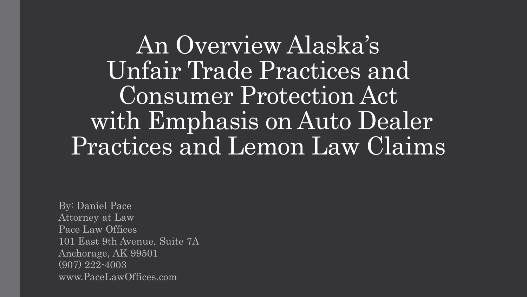An Overview Alaska's Unfair Trade Practices and Consumer Protection Act with Emphasis on Auto Dealer Practices and Lemon Law Claims

By: Daniel Pace Attorney at Law Pace Law Offices 101 East 9th Avenue, Suite 7A Anchorage, AK 99501 (907) 222-4003 www.PaceLawOffices.com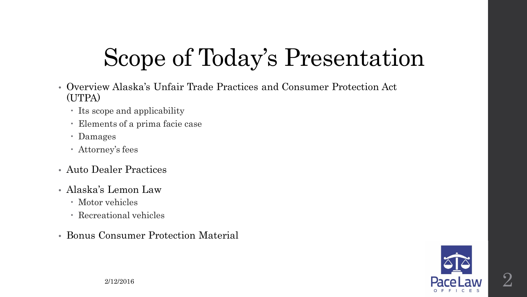# Scope of Today's Presentation

- Overview Alaska's Unfair Trade Practices and Consumer Protection Act (UTPA)
	- Its scope and applicability
	- Elements of a prima facie case
	- Damages
	- Attorney's fees
- Auto Dealer Practices
- Alaska's Lemon Law
	- Motor vehicles
	- Recreational vehicles
- Bonus Consumer Protection Material

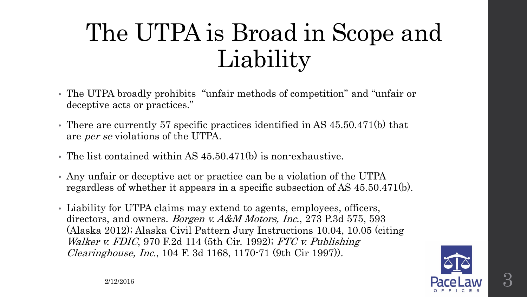## The UTPA is Broad in Scope and Liability

- The UTPA broadly prohibits "unfair methods of competition" and "unfair or deceptive acts or practices."
- There are currently 57 specific practices identified in AS 45.50.471(b) that are per se violations of the UTPA.
- The list contained within AS 45.50.471(b) is non-exhaustive.
- Any unfair or deceptive act or practice can be a violation of the UTPA regardless of whether it appears in a specific subsection of AS 45.50.471(b).
- Liability for UTPA claims may extend to agents, employees, officers, directors, and owners. *Borgen v. A&M Motors, Inc.*, 273 P.3d 575, 593 (Alaska 2012); Alaska Civil Pattern Jury Instructions 10.04, 10.05 (citing Walker v. FDIC, 970 F.2d 114 (5th Cir. 1992); FTC v. Publishing Clearinghouse, Inc., 104 F. 3d 1168, 1170-71 (9th Cir 1997)).

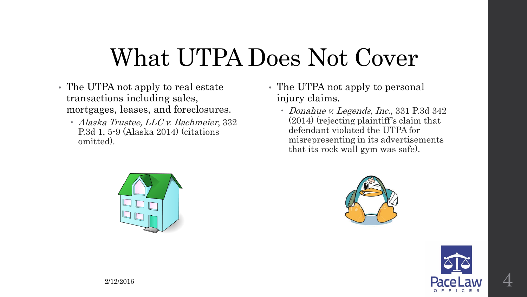### What UTPA Does Not Cover

- The UTPA not apply to real estate transactions including sales, mortgages, leases, and foreclosures.
	- Alaska Trustee, LLC v. Bachmeier, 332 P.3d 1, 5-9 (Alaska 2014) (citations omitted).
- The UTPA not apply to personal injury claims.
	- Donahue v. Legends, Inc., 331 P.3d 342 (2014) (rejecting plaintiff's claim that defendant violated the UTPA for misrepresenting in its advertisements that its rock wall gym was safe).





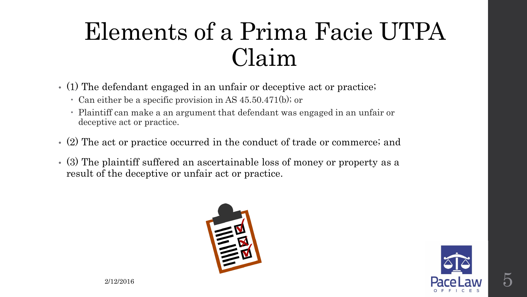### Elements of a Prima Facie UTPA Claim

- (1) The defendant engaged in an unfair or deceptive act or practice;
	- Can either be a specific provision in AS 45.50.471(b); or
	- Plaintiff can make a an argument that defendant was engaged in an unfair or deceptive act or practice.
- (2) The act or practice occurred in the conduct of trade or commerce; and
- (3) The plaintiff suffered an ascertainable loss of money or property as a result of the deceptive or unfair act or practice.



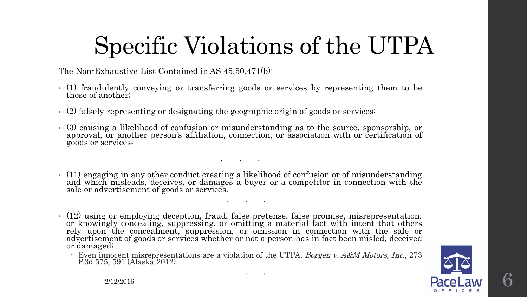# Specific Violations of the UTPA

The Non-Exhaustive List Contained in AS 45.50.471(b):

- (1) fraudulently conveying or transferring goods or services by representing them to be those of another;
- (2) falsely representing or designating the geographic origin of goods or services;
- (3) causing a likelihood of confusion or misunderstanding as to the source, sponsorship, or approval, or another person's affiliation, connection, or association with or certification of goods or services;
- (11) engaging in any other conduct creating <sup>a</sup> likelihood of confusion or of misunderstanding and which misleads, deceives, or damages <sup>a</sup> buyer or <sup>a</sup> competitor in connection with the sale or advertisement of goods or services.

. . .

. . .

• (12) using or employing deception, fraud, false pretense, false promise, misrepresentation, or knowingly concealing, suppressing, or omitting a material fact with intent that others rely upon the concealment, suppression, or omission in connection with the sale or advertisement of goods or services whether or not a person has in fact been misled, deceived or damaged;

Even innocent misrepresentations are a violation of the UTPA. Borgen v. A&M Motors, Inc., 273 P.3d 575, 591 (Alaska 2012).

. . .

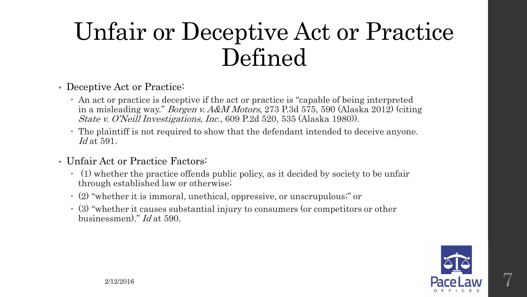### Unfair or Deceptive Act or Practice Defined

- Deceptive Act or Practice:
	- An act or practice is deceptive if the act or practice is "capable of being interpreted in a misleading way." Borgen v. A&M Motors, 273 P.3d 575, 590 (Alaska 2012) (citing State v. O'Neill Investigations, Inc., 609 P.2d 520, 535 (Alaska 1980)).
	- The plaintiff is not required to show that the defendant intended to deceive anyone.  $Id$  at 591.
- Unfair Act or Practice Factors:
	- (1) whether the practice offends public policy, as it decided by society to be unfair through established law or otherwise;
	- (2) "whether it is immoral, unethical, oppressive, or unscrupulous;" or
	- (3) "whether it causes substantial injury to consumers (or competitors or other businessmen)." Id at 590.

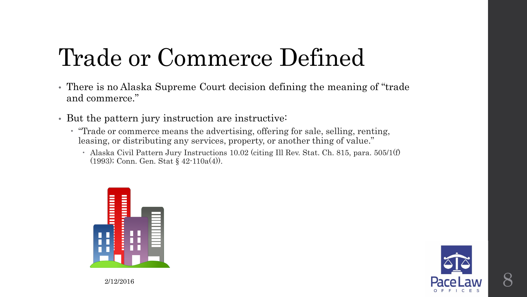# Trade or Commerce Defined

- There is no Alaska Supreme Court decision defining the meaning of "trade and commerce."
- But the pattern jury instruction are instructive:
	- "Trade or commerce means the advertising, offering for sale, selling, renting, leasing, or distributing any services, property, or another thing of value."
		- Alaska Civil Pattern Jury Instructions 10.02 (citing Ill Rev. Stat. Ch. 815, para. 505/1(f) (1993); Conn. Gen. Stat § 42-110a(4)).



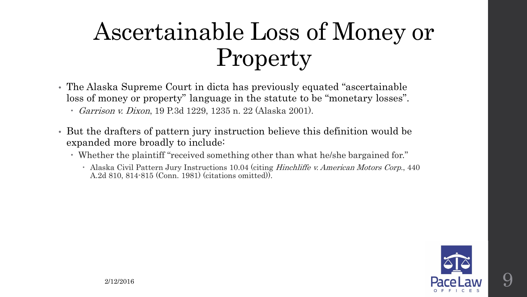# Ascertainable Loss of Money or Property

- The Alaska Supreme Court in dicta has previously equated "ascertainable loss of money or property" language in the statute to be "monetary losses".
	- Garrison v. Dixon, 19 P.3d 1229, 1235 n. 22 (Alaska 2001).
- But the drafters of pattern jury instruction believe this definition would be expanded more broadly to include:
	- Whether the plaintiff "received something other than what he/she bargained for."
		- Alaska Civil Pattern Jury Instructions 10.04 (citing *Hinchliffe v. American Motors Corp.*, 440 A.2d 810, 814-815 (Conn. 1981) (citations omitted)).

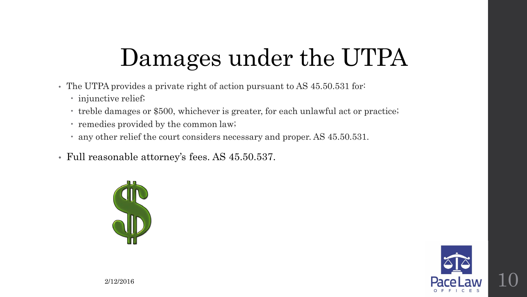# Damages under the UTPA

- The UTPA provides a private right of action pursuant to AS 45.50.531 for:
	- injunctive relief;
	- treble damages or \$500, whichever is greater, for each unlawful act or practice;
	- remedies provided by the common law;
	- any other relief the court considers necessary and proper. AS 45.50.531.
- Full reasonable attorney's fees. AS 45.50.537.



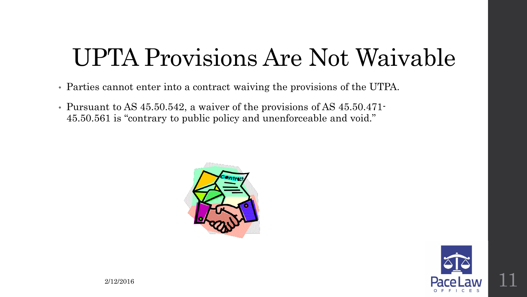### UPTA Provisions Are Not Waivable

- Parties cannot enter into a contract waiving the provisions of the UTPA.
- Pursuant to AS 45.50.542, a waiver of the provisions of AS 45.50.471- 45.50.561 is "contrary to public policy and unenforceable and void."



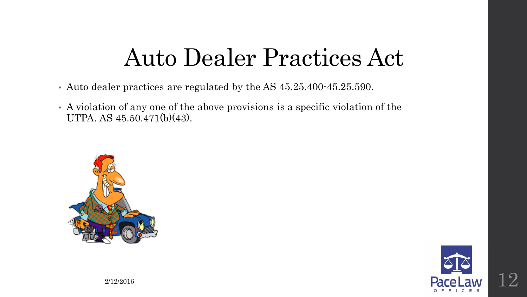#### Auto Dealer Practices Act

- Auto dealer practices are regulated by the AS 45.25.400-45.25.590.
- A violation of any one of the above provisions is a specific violation of the UTPA. AS 45.50.471(b)(43).



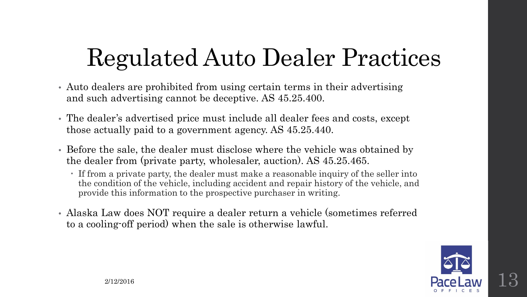# Regulated Auto Dealer Practices

- Auto dealers are prohibited from using certain terms in their advertising and such advertising cannot be deceptive. AS 45.25.400.
- The dealer's advertised price must include all dealer fees and costs, except those actually paid to a government agency. AS 45.25.440.
- Before the sale, the dealer must disclose where the vehicle was obtained by the dealer from (private party, wholesaler, auction). AS 45.25.465.
	- If from a private party, the dealer must make a reasonable inquiry of the seller into the condition of the vehicle, including accident and repair history of the vehicle, and provide this information to the prospective purchaser in writing.
- Alaska Law does NOT require a dealer return a vehicle (sometimes referred to a cooling-off period) when the sale is otherwise lawful.

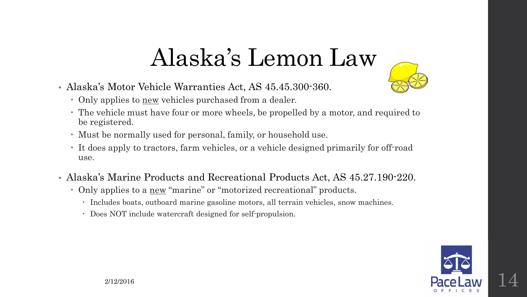### Alaska's Lemon Law

- Alaska's Motor Vehicle Warranties Act, AS 45.45.300-360.
	- Only applies to new vehicles purchased from a dealer.
	- The vehicle must have four or more wheels, be propelled by a motor, and required to be registered.
	- Must be normally used for personal, family, or household use.
	- It does apply to tractors, farm vehicles, or a vehicle designed primarily for off-road use.
- Alaska's Marine Products and Recreational Products Act, AS 45.27.190-220.
	- Only applies to a new "marine" or "motorized recreational" products.
		- Includes boats, outboard marine gasoline motors, all terrain vehicles, snow machines.
		- Does NOT include watercraft designed for self-propulsion.

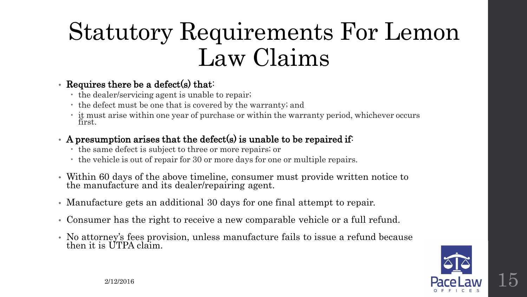### Statutory Requirements For Lemon Law Claims

#### • Requires there be a defect(s) that:

- the dealer/servicing agent is unable to repair;
- the defect must be one that is covered by the warranty; and
- it must arise within one year of purchase or within the warranty period, whichever occurs first.

#### • A presumption arises that the defect(s) is unable to be repaired if:

- the same defect is subject to three or more repairs; or
- the vehicle is out of repair for 30 or more days for one or multiple repairs.
- Within 60 days of the above timeline, consumer must provide written notice to the manufacture and its dealer/repairing agent.
- Manufacture gets an additional 30 days for one final attempt to repair.
- Consumer has the right to receive a new comparable vehicle or a full refund.
- No attorney's fees provision, unless manufacture fails to issue a refund because then it is UTPA claim.

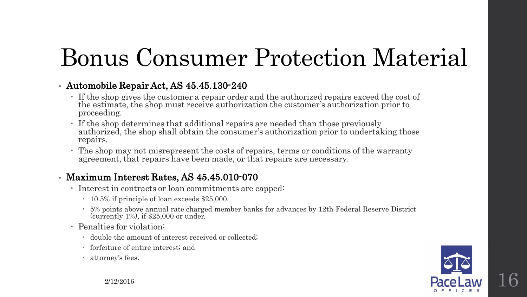# Bonus Consumer Protection Material

#### • Automobile Repair Act, AS 45.45.130-240

- If the shop gives the customer a repair order and the authorized repairs exceed the cost of the estimate, the shop must receive authorization the customer's authorization prior to proceeding.
- If the shop determines that additional repairs are needed than those previously authorized, the shop shall obtain the consumer's authorization prior to undertaking those repairs.
- The shop may not misrepresent the costs of repairs, terms or conditions of the warranty agreement, that repairs have been made, or that repairs are necessary.

#### • Maximum Interest Rates, AS 45.45.010-070

- Interest in contracts or loan commitments are capped:
	- 10.5% if principle of loan exceeds \$25,000.
	- 5% points above annual rate charged member banks for advances by 12th Federal Reserve District (currently 1%), if \$25,000 or under.
- Penalties for violation:
	- double the amount of interest received or collected;
	- forfeiture of entire interest; and
	- attorney's fees.